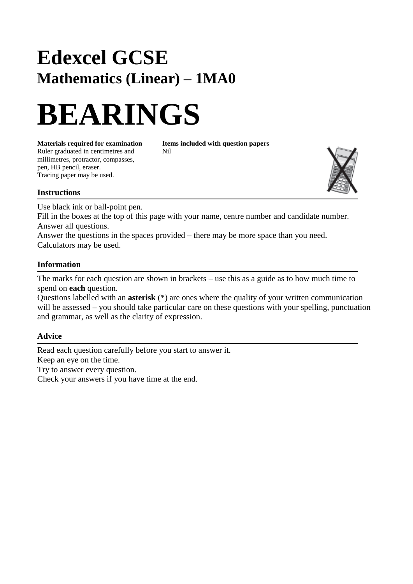# **Edexcel GCSE Mathematics (Linear) – 1MA0**

# **BEARINGS**

Ruler graduated in centimetres and Nil millimetres, protractor, compasses, pen, HB pencil, eraser.

**Materials required for examination Items included with question papers**

## **Instructions**

Tracing paper may be used.

Use black ink or ball-point pen.

Fill in the boxes at the top of this page with your name, centre number and candidate number. Answer all questions.

Answer the questions in the spaces provided – there may be more space than you need. Calculators may be used.

#### **Information**

The marks for each question are shown in brackets – use this as a guide as to how much time to spend on **each** question.

Questions labelled with an **asterisk** (\*) are ones where the quality of your written communication will be assessed – you should take particular care on these questions with your spelling, punctuation and grammar, as well as the clarity of expression.

### **Advice**

Read each question carefully before you start to answer it. Keep an eye on the time. Try to answer every question. Check your answers if you have time at the end.

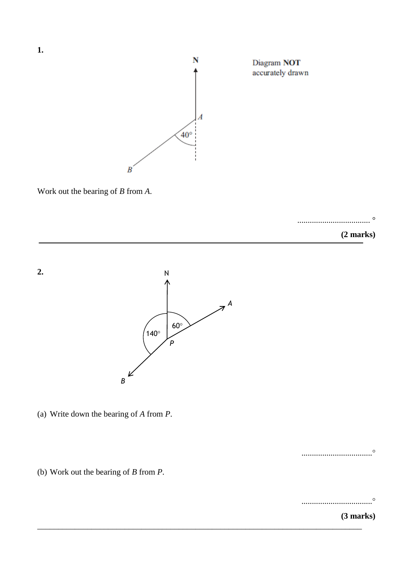

Work out the bearing of *B* from *A*.

................................... °

**(2 marks)**



(a) Write down the bearing of *A* from *P*.

..................................

(b) Work out the bearing of *B* from *P*.

..................................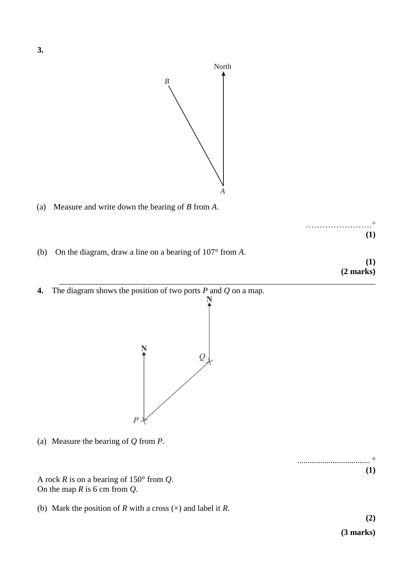

\_\_\_\_\_\_\_\_\_\_\_\_\_\_\_\_\_\_\_\_\_\_\_\_\_\_\_\_\_\_\_\_\_\_\_\_\_\_\_\_\_\_\_\_\_\_\_\_\_\_\_\_\_\_\_\_\_\_\_\_\_\_\_\_\_\_\_\_\_\_\_\_\_\_\_\_

(a) Measure and write down the bearing of *B* from *A*.



(b) On the diagram, draw a line on a bearing of 107° from *A*.

**(1) (2 marks)**

- **(3 marks)** North **4.** The diagram shows the position of two ports *P* and *Q* on a map. Q
- (a) Measure the bearing of *Q* from *P*.

A rock *R* is on a bearing of 150° from *Q*. On the map *R* is 6 cm from *Q*.

(b) Mark the position of *R* with a cross  $(\times)$  and label it *R*.

 $\overline{P}$ 

**(2)**

**(1)**

................................... °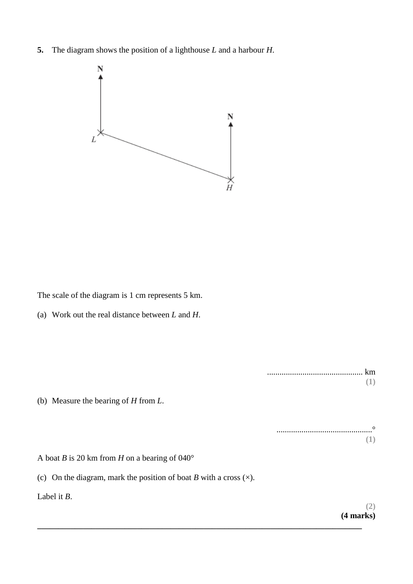**5.** The diagram shows the position of a lighthouse *L* and a harbour *H*.



The scale of the diagram is 1 cm represents 5 km.

(a) Work out the real distance between *L* and *H*.

(b) Measure the bearing of *H* from *L*.

..............................................° **(1)**

.............................................. km

A boat *B* is 20 km from *H* on a bearing of 040°

(c) On the diagram, mark the position of boat  $B$  with a cross  $(\times)$ .

**\_\_\_\_\_\_\_\_\_\_\_\_\_\_\_\_\_\_\_\_\_\_\_\_\_\_\_\_\_\_\_\_\_\_\_\_\_\_\_\_\_\_\_\_\_\_\_\_\_\_\_\_\_\_\_\_\_\_\_\_\_\_\_\_\_\_\_\_\_\_\_\_\_\_\_\_\_\_**

Label it *B*.

**(2) (4 marks)**

**(1)**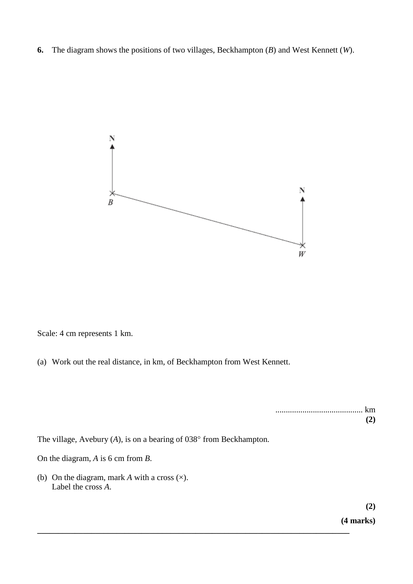**6.** The diagram shows the positions of two villages, Beckhampton (*B*) and West Kennett (*W*).



Scale: 4 cm represents 1 km.

(a) Work out the real distance, in km, of Beckhampton from West Kennett.

| (2) |
|-----|

The village, Avebury  $(A)$ , is on a bearing of 038 $\degree$  from Beckhampton.

**\_\_\_\_\_\_\_\_\_\_\_\_\_\_\_\_\_\_\_\_\_\_\_\_\_\_\_\_\_\_\_\_\_\_\_\_\_\_\_\_\_\_\_\_\_\_\_\_\_\_\_\_\_\_\_\_\_\_\_\_\_\_\_\_\_\_\_\_\_\_\_\_\_\_\_**

On the diagram, *A* is 6 cm from *B*.

(b) On the diagram, mark *A* with a cross (×). Label the cross *A*.

> **(2) (4 marks)**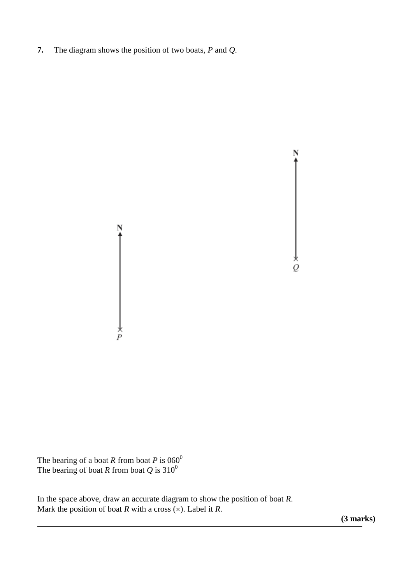**7.** The diagram shows the position of two boats, *P* and *Q*.



The bearing of a boat *R* from boat *P* is  $060^0$ The bearing of boat *R* from boat  $Q$  is 310<sup>0</sup>

In the space above, draw an accurate diagram to show the position of boat *R*. Mark the position of boat  $R$  with a cross  $(x)$ . Label it  $R$ .

**(3 marks)**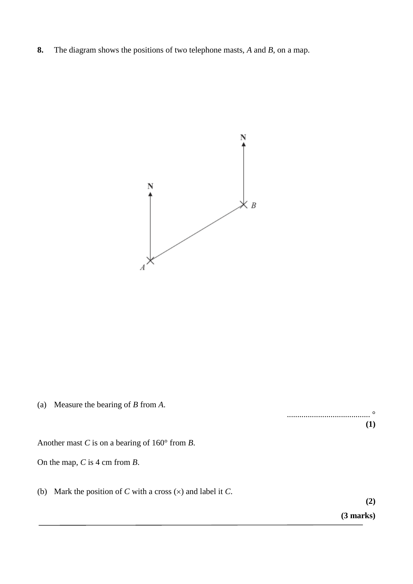**8.** The diagram shows the positions of two telephone masts, *A* and *B*, on a map.



(a) Measure the bearing of *B* from *A*.

........................................ ° **(1)**

Another mast *C* is on a bearing of 160° from *B*.

On the map, *C* is 4 cm from *B*.

(b) Mark the position of *C* with a cross  $(x)$  and label it *C*.

**(2)**

**(3 marks)**